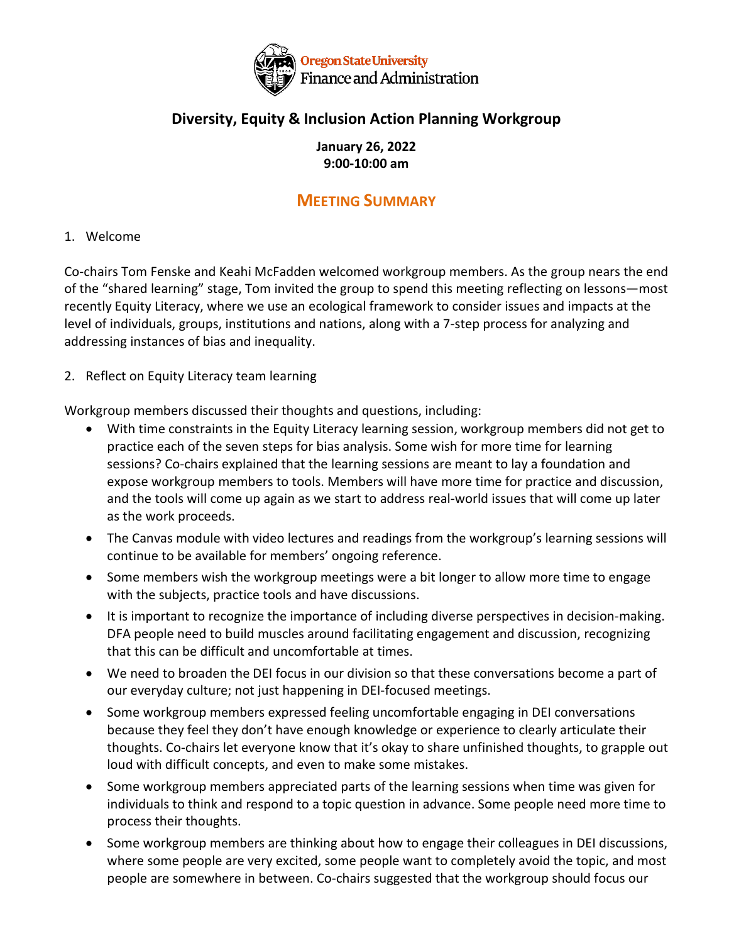

## **Diversity, Equity & Inclusion Action Planning Workgroup**

### **January 26, 2022 9:00-10:00 am**

# **MEETING SUMMARY**

### 1. Welcome

Co-chairs Tom Fenske and Keahi McFadden welcomed workgroup members. As the group nears the end of the "shared learning" stage, Tom invited the group to spend this meeting reflecting on lessons—most recently Equity Literacy, where we use an ecological framework to consider issues and impacts at the level of individuals, groups, institutions and nations, along with a 7-step process for analyzing and addressing instances of bias and inequality.

2. Reflect on Equity Literacy team learning

Workgroup members discussed their thoughts and questions, including:

- With time constraints in the Equity Literacy learning session, workgroup members did not get to practice each of the seven steps for bias analysis. Some wish for more time for learning sessions? Co-chairs explained that the learning sessions are meant to lay a foundation and expose workgroup members to tools. Members will have more time for practice and discussion, and the tools will come up again as we start to address real-world issues that will come up later as the work proceeds.
- The Canvas module with video lectures and readings from the workgroup's learning sessions will continue to be available for members' ongoing reference.
- Some members wish the workgroup meetings were a bit longer to allow more time to engage with the subjects, practice tools and have discussions.
- It is important to recognize the importance of including diverse perspectives in decision-making. DFA people need to build muscles around facilitating engagement and discussion, recognizing that this can be difficult and uncomfortable at times.
- We need to broaden the DEI focus in our division so that these conversations become a part of our everyday culture; not just happening in DEI-focused meetings.
- Some workgroup members expressed feeling uncomfortable engaging in DEI conversations because they feel they don't have enough knowledge or experience to clearly articulate their thoughts. Co-chairs let everyone know that it's okay to share unfinished thoughts, to grapple out loud with difficult concepts, and even to make some mistakes.
- Some workgroup members appreciated parts of the learning sessions when time was given for individuals to think and respond to a topic question in advance. Some people need more time to process their thoughts.
- Some workgroup members are thinking about how to engage their colleagues in DEI discussions, where some people are very excited, some people want to completely avoid the topic, and most people are somewhere in between. Co-chairs suggested that the workgroup should focus our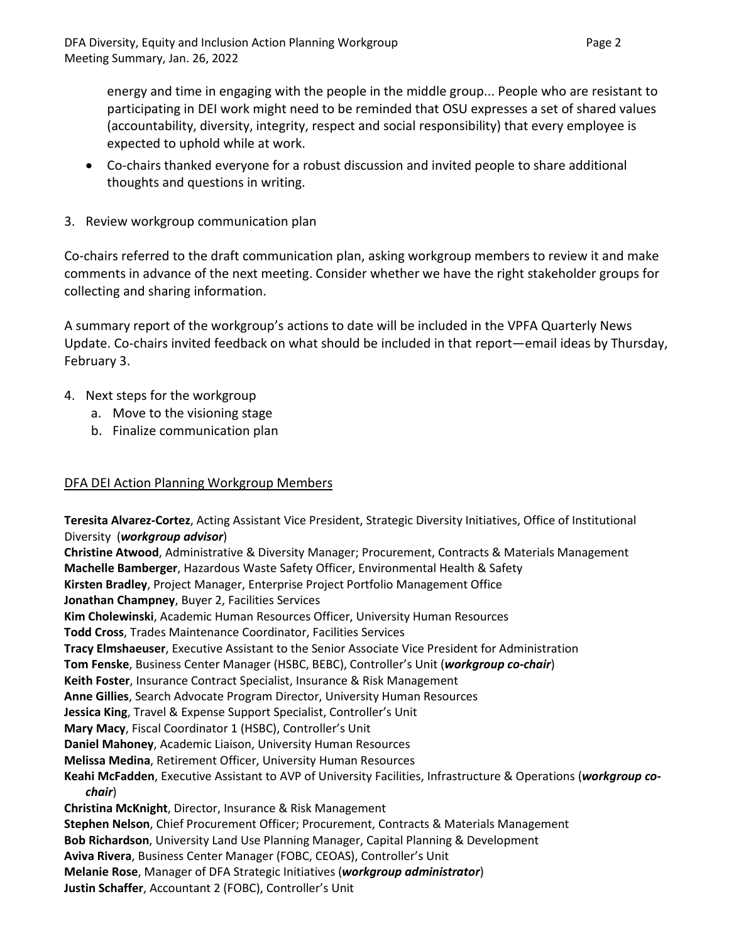energy and time in engaging with the people in the middle group... People who are resistant to participating in DEI work might need to be reminded that OSU expresses a set of shared values (accountability, diversity, integrity, respect and social responsibility) that every employee is expected to uphold while at work.

- Co-chairs thanked everyone for a robust discussion and invited people to share additional thoughts and questions in writing.
- 3. Review workgroup communication plan

Co-chairs referred to the draft communication plan, asking workgroup members to review it and make comments in advance of the next meeting. Consider whether we have the right stakeholder groups for collecting and sharing information.

A summary report of the workgroup's actions to date will be included in the VPFA Quarterly News Update. Co-chairs invited feedback on what should be included in that report—email ideas by Thursday, February 3.

- 4. Next steps for the workgroup
	- a. Move to the visioning stage
	- b. Finalize communication plan

#### DFA DEI Action Planning Workgroup Members

**Teresita Alvarez-Cortez**, Acting Assistant Vice President, Strategic Diversity Initiatives, Office of Institutional Diversity (*workgroup advisor*) **Christine Atwood**, Administrative & Diversity Manager; Procurement, Contracts & Materials Management **Machelle Bamberger**, Hazardous Waste Safety Officer, Environmental Health & Safety **Kirsten Bradley**, Project Manager, Enterprise Project Portfolio Management Office **Jonathan Champney**, Buyer 2, Facilities Services **Kim Cholewinski**, Academic Human Resources Officer, University Human Resources **Todd Cross**, Trades Maintenance Coordinator, Facilities Services **Tracy Elmshaeuser**, Executive Assistant to the Senior Associate Vice President for Administration **Tom Fenske**, Business Center Manager (HSBC, BEBC), Controller's Unit (*workgroup co-chair*) **Keith Foster**, Insurance Contract Specialist, Insurance & Risk Management **Anne Gillies**, Search Advocate Program Director, University Human Resources **Jessica King**, Travel & Expense Support Specialist, Controller's Unit **Mary Macy**, Fiscal Coordinator 1 (HSBC), Controller's Unit **Daniel Mahoney**, Academic Liaison, University Human Resources **Melissa Medina**, Retirement Officer, University Human Resources **Keahi McFadden**, Executive Assistant to AVP of University Facilities, Infrastructure & Operations (*workgroup cochair*) **Christina McKnight**, Director, Insurance & Risk Management **Stephen Nelson**, Chief Procurement Officer; Procurement, Contracts & Materials Management **Bob Richardson**, University Land Use Planning Manager, Capital Planning & Development **Aviva Rivera**, Business Center Manager (FOBC, CEOAS), Controller's Unit **Melanie Rose**, Manager of DFA Strategic Initiatives (*workgroup administrator*) **Justin Schaffer**, Accountant 2 (FOBC), Controller's Unit